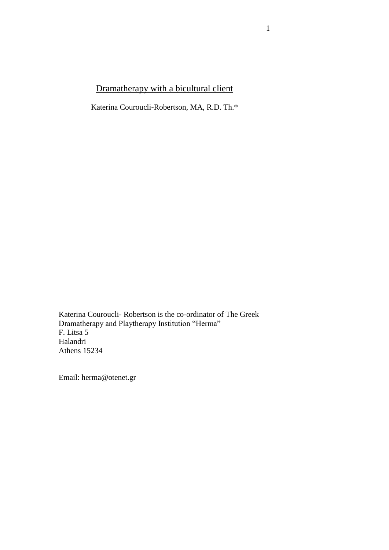# Dramatherapy with a bicultural client

Katerina Couroucli-Robertson, MA, R.D. Th.\*

Katerina Couroucli- Robertson is the co-ordinator of The Greek Dramatherapy and Playtherapy Institution "Herma" F. Litsa 5 Halandri Athens 15234

Email: herma@otenet.gr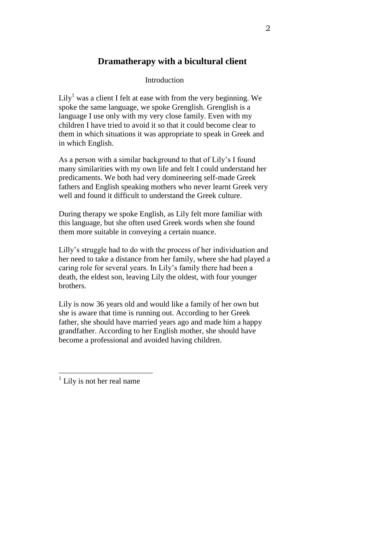## **Dramatherapy with a bicultural client**

### Introduction

 $Lily<sup>1</sup>$  was a client I felt at ease with from the very beginning. We spoke the same language, we spoke Grenglish. Grenglish is a language I use only with my very close family. Even with my children I have tried to avoid it so that it could become clear to them in which situations it was appropriate to speak in Greek and in which English.

As a person with a similar background to that of Lily's I found many similarities with my own life and felt I could understand her predicaments. We both had very domineering self-made Greek fathers and English speaking mothers who never learnt Greek very well and found it difficult to understand the Greek culture.

During therapy we spoke English, as Lily felt more familiar with this language, but she often used Greek words when she found them more suitable in conveying a certain nuance.

Lilly's struggle had to do with the process of her individuation and her need to take a distance from her family, where she had played a caring role for several years. In Lily's family there had been a death, the eldest son, leaving Lily the oldest, with four younger brothers.

Lily is now 36 years old and would like a family of her own but she is aware that time is running out. According to her Greek father, she should have married years ago and made him a happy grandfather. According to her English mother, she should have become a professional and avoided having children.

 $\overline{a}$ 

<sup>&</sup>lt;sup>1</sup> Lily is not her real name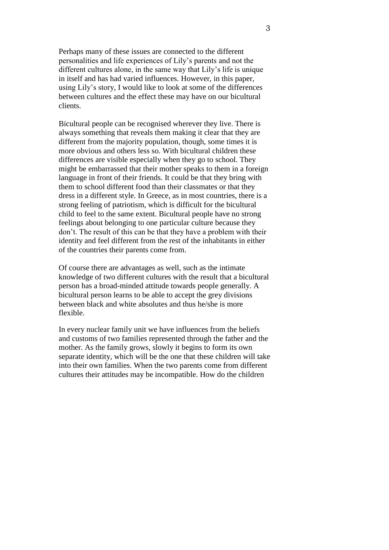Perhaps many of these issues are connected to the different personalities and life experiences of Lily's parents and not the different cultures alone, in the same way that Lily's life is unique in itself and has had varied influences. However, in this paper, using Lily's story, I would like to look at some of the differences between cultures and the effect these may have on our bicultural clients.

Bicultural people can be recognised wherever they live. There is always something that reveals them making it clear that they are different from the majority population, though, some times it is more obvious and others less so. With bicultural children these differences are visible especially when they go to school. They might be embarrassed that their mother speaks to them in a foreign language in front of their friends. It could be that they bring with them to school different food than their classmates or that they dress in a different style. In Greece, as in most countries, there is a strong feeling of patriotism, which is difficult for the bicultural child to feel to the same extent. Bicultural people have no strong feelings about belonging to one particular culture because they don't. The result of this can be that they have a problem with their identity and feel different from the rest of the inhabitants in either of the countries their parents come from.

Of course there are advantages as well, such as the intimate knowledge of two different cultures with the result that a bicultural person has a broad-minded attitude towards people generally. A bicultural person learns to be able to accept the grey divisions between black and white absolutes and thus he/she is more flexible.

In every nuclear family unit we have influences from the beliefs and customs of two families represented through the father and the mother. As the family grows, slowly it begins to form its own separate identity, which will be the one that these children will take into their own families. When the two parents come from different cultures their attitudes may be incompatible. How do the children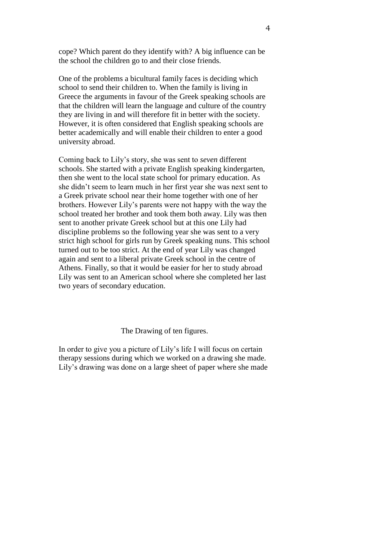cope? Which parent do they identify with? A big influence can be the school the children go to and their close friends.

One of the problems a bicultural family faces is deciding which school to send their children to. When the family is living in Greece the arguments in favour of the Greek speaking schools are that the children will learn the language and culture of the country they are living in and will therefore fit in better with the society. However, it is often considered that English speaking schools are better academically and will enable their children to enter a good university abroad.

Coming back to Lily's story, she was sent to *seven* different schools. She started with a private English speaking kindergarten, then she went to the local state school for primary education. As she didn't seem to learn much in her first year she was next sent to a Greek private school near their home together with one of her brothers. However Lily's parents were not happy with the way the school treated her brother and took them both away. Lily was then sent to another private Greek school but at this one Lily had discipline problems so the following year she was sent to a very strict high school for girls run by Greek speaking nuns. This school turned out to be too strict. At the end of year Lily was changed again and sent to a liberal private Greek school in the centre of Athens. Finally, so that it would be easier for her to study abroad Lily was sent to an American school where she completed her last two years of secondary education.

#### The Drawing of ten figures.

In order to give you a picture of Lily's life I will focus on certain therapy sessions during which we worked on a drawing she made. Lily's drawing was done on a large sheet of paper where she made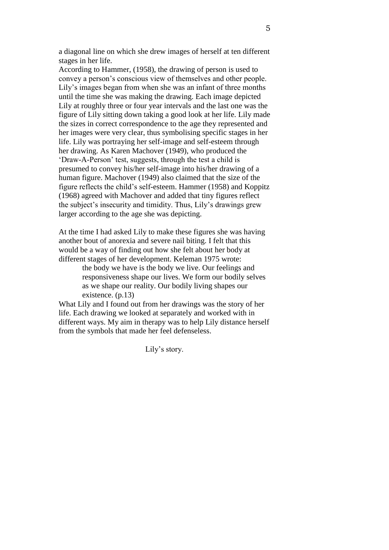a diagonal line on which she drew images of herself at ten different stages in her life.

According to Hammer, (1958), the drawing of person is used to convey a person's conscious view of themselves and other people. Lily's images began from when she was an infant of three months until the time she was making the drawing. Each image depicted Lily at roughly three or four year intervals and the last one was the figure of Lily sitting down taking a good look at her life. Lily made the sizes in correct correspondence to the age they represented and her images were very clear, thus symbolising specific stages in her life. Lily was portraying her self-image and self-esteem through her drawing. As Karen Machover (1949), who produced the 'Draw-A-Person' test, suggests, through the test a child is presumed to convey his/her self-image into his/her drawing of a human figure. Machover (1949) also claimed that the size of the figure reflects the child's self-esteem. Hammer (1958) and Koppitz (1968) agreed with Machover and added that tiny figures reflect the subject's insecurity and timidity. Thus, Lily's drawings grew larger according to the age she was depicting.

At the time I had asked Lily to make these figures she was having another bout of anorexia and severe nail biting. I felt that this would be a way of finding out how she felt about her body at different stages of her development. Keleman 1975 wrote:

> the body we have is the body we live. Our feelings and responsiveness shape our lives. We form our bodily selves as we shape our reality. Our bodily living shapes our existence. (p.13)

What Lily and I found out from her drawings was the story of her life. Each drawing we looked at separately and worked with in different ways. My aim in therapy was to help Lily distance herself from the symbols that made her feel defenseless.

Lily's story.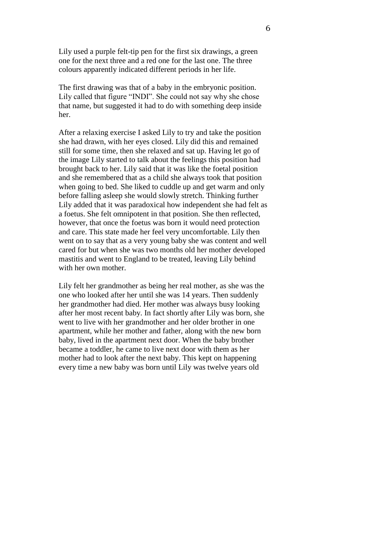Lily used a purple felt-tip pen for the first six drawings, a green one for the next three and a red one for the last one. The three colours apparently indicated different periods in her life.

The first drawing was that of a baby in the embryonic position. Lily called that figure "INDI". She could not say why she chose that name, but suggested it had to do with something deep inside her.

After a relaxing exercise I asked Lily to try and take the position she had drawn, with her eyes closed. Lily did this and remained still for some time, then she relaxed and sat up. Having let go of the image Lily started to talk about the feelings this position had brought back to her. Lily said that it was like the foetal position and she remembered that as a child she always took that position when going to bed. She liked to cuddle up and get warm and only before falling asleep she would slowly stretch. Thinking further Lily added that it was paradoxical how independent she had felt as a foetus. She felt omnipotent in that position. She then reflected, however, that once the foetus was born it would need protection and care. This state made her feel very uncomfortable. Lily then went on to say that as a very young baby she was content and well cared for but when she was two months old her mother developed mastitis and went to England to be treated, leaving Lily behind with her own mother.

Lily felt her grandmother as being her real mother, as she was the one who looked after her until she was 14 years. Then suddenly her grandmother had died. Her mother was always busy looking after her most recent baby. In fact shortly after Lily was born, she went to live with her grandmother and her older brother in one apartment, while her mother and father, along with the new born baby, lived in the apartment next door. When the baby brother became a toddler, he came to live next door with them as her mother had to look after the next baby. This kept on happening every time a new baby was born until Lily was twelve years old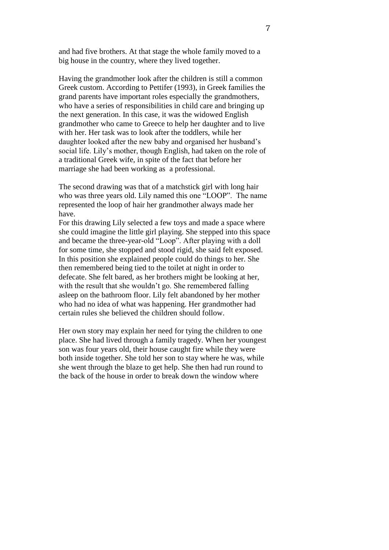and had five brothers. At that stage the whole family moved to a big house in the country, where they lived together.

Having the grandmother look after the children is still a common Greek custom. According to Pettifer (1993), in Greek families the grand parents have important roles especially the grandmothers, who have a series of responsibilities in child care and bringing up the next generation. In this case, it was the widowed English grandmother who came to Greece to help her daughter and to live with her. Her task was to look after the toddlers, while her daughter looked after the new baby and organised her husband's social life. Lily's mother, though English, had taken on the role of a traditional Greek wife, in spite of the fact that before her marriage she had been working as a professional.

The second drawing was that of a matchstick girl with long hair who was three years old. Lily named this one "LOOP". The name represented the loop of hair her grandmother always made her have.

For this drawing Lily selected a few toys and made a space where she could imagine the little girl playing. She stepped into this space and became the three-year-old "Loop". After playing with a doll for some time, she stopped and stood rigid, she said felt exposed. In this position she explained people could do things to her. She then remembered being tied to the toilet at night in order to defecate. She felt bared, as her brothers might be looking at her, with the result that she wouldn't go. She remembered falling asleep on the bathroom floor. Lily felt abandoned by her mother who had no idea of what was happening. Her grandmother had certain rules she believed the children should follow.

Her own story may explain her need for tying the children to one place. She had lived through a family tragedy. When her youngest son was four years old, their house caught fire while they were both inside together. She told her son to stay where he was, while she went through the blaze to get help. She then had run round to the back of the house in order to break down the window where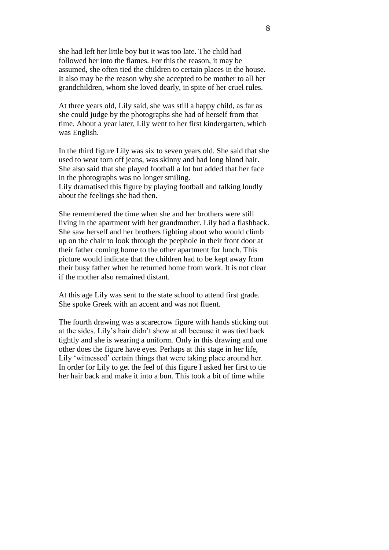she had left her little boy but it was too late. The child had followed her into the flames. For this the reason, it may be assumed, she often tied the children to certain places in the house. It also may be the reason why she accepted to be mother to all her grandchildren, whom she loved dearly, in spite of her cruel rules.

At three years old, Lily said, she was still a happy child, as far as she could judge by the photographs she had of herself from that time. About a year later, Lily went to her first kindergarten, which was English.

In the third figure Lily was six to seven years old. She said that she used to wear torn off jeans, was skinny and had long blond hair. She also said that she played football a lot but added that her face in the photographs was no longer smiling. Lily dramatised this figure by playing football and talking loudly about the feelings she had then.

She remembered the time when she and her brothers were still living in the apartment with her grandmother. Lily had a flashback. She saw herself and her brothers fighting about who would climb up on the chair to look through the peephole in their front door at their father coming home to the other apartment for lunch. This picture would indicate that the children had to be kept away from their busy father when he returned home from work. It is not clear if the mother also remained distant.

At this age Lily was sent to the state school to attend first grade. She spoke Greek with an accent and was not fluent.

The fourth drawing was a scarecrow figure with hands sticking out at the sides. Lily's hair didn't show at all because it was tied back tightly and she is wearing a uniform. Only in this drawing and one other does the figure have eyes. Perhaps at this stage in her life, Lily 'witnessed' certain things that were taking place around her. In order for Lily to get the feel of this figure I asked her first to tie her hair back and make it into a bun. This took a bit of time while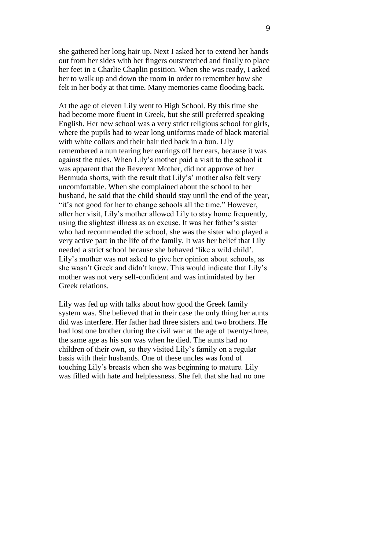she gathered her long hair up. Next I asked her to extend her hands out from her sides with her fingers outstretched and finally to place her feet in a Charlie Chaplin position. When she was ready, I asked her to walk up and down the room in order to remember how she felt in her body at that time. Many memories came flooding back.

At the age of eleven Lily went to High School. By this time she had become more fluent in Greek, but she still preferred speaking English. Her new school was a very strict religious school for girls, where the pupils had to wear long uniforms made of black material with white collars and their hair tied back in a bun. Lily remembered a nun tearing her earrings off her ears, because it was against the rules. When Lily's mother paid a visit to the school it was apparent that the Reverent Mother, did not approve of her Bermuda shorts, with the result that Lily's' mother also felt very uncomfortable. When she complained about the school to her husband, he said that the child should stay until the end of the year, "it's not good for her to change schools all the time." However, after her visit, Lily's mother allowed Lily to stay home frequently, using the slightest illness as an excuse. It was her father's sister who had recommended the school, she was the sister who played a very active part in the life of the family. It was her belief that Lily needed a strict school because she behaved 'like a wild child'. Lily's mother was not asked to give her opinion about schools, as she wasn't Greek and didn't know. This would indicate that Lily's mother was not very self-confident and was intimidated by her Greek relations.

Lily was fed up with talks about how good the Greek family system was. She believed that in their case the only thing her aunts did was interfere. Her father had three sisters and two brothers. He had lost one brother during the civil war at the age of twenty-three, the same age as his son was when he died. The aunts had no children of their own, so they visited Lily's family on a regular basis with their husbands. One of these uncles was fond of touching Lily's breasts when she was beginning to mature. Lily was filled with hate and helplessness. She felt that she had no one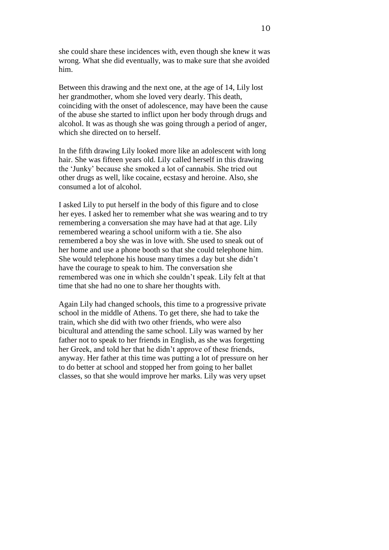she could share these incidences with, even though she knew it was wrong. What she did eventually, was to make sure that she avoided him.

Between this drawing and the next one, at the age of 14, Lily lost her grandmother, whom she loved very dearly. This death, coinciding with the onset of adolescence, may have been the cause of the abuse she started to inflict upon her body through drugs and alcohol. It was as though she was going through a period of anger, which she directed on to herself.

In the fifth drawing Lily looked more like an adolescent with long hair. She was fifteen years old. Lily called herself in this drawing the 'Junky' because she smoked a lot of cannabis. She tried out other drugs as well, like cocaine, ecstasy and heroine. Also, she consumed a lot of alcohol.

I asked Lily to put herself in the body of this figure and to close her eyes. I asked her to remember what she was wearing and to try remembering a conversation she may have had at that age. Lily remembered wearing a school uniform with a tie. She also remembered a boy she was in love with. She used to sneak out of her home and use a phone booth so that she could telephone him. She would telephone his house many times a day but she didn't have the courage to speak to him. The conversation she remembered was one in which she couldn't speak. Lily felt at that time that she had no one to share her thoughts with.

Again Lily had changed schools, this time to a progressive private school in the middle of Athens. To get there, she had to take the train, which she did with two other friends, who were also bicultural and attending the same school. Lily was warned by her father not to speak to her friends in English, as she was forgetting her Greek, and told her that he didn't approve of these friends, anyway. Her father at this time was putting a lot of pressure on her to do better at school and stopped her from going to her ballet classes, so that she would improve her marks. Lily was very upset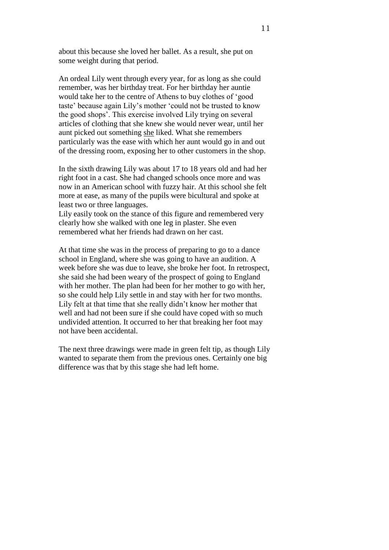about this because she loved her ballet. As a result, she put on some weight during that period.

An ordeal Lily went through every year, for as long as she could remember, was her birthday treat. For her birthday her auntie would take her to the centre of Athens to buy clothes of 'good taste' because again Lily's mother 'could not be trusted to know the good shops'. This exercise involved Lily trying on several articles of clothing that she knew she would never wear, until her aunt picked out something she liked. What she remembers particularly was the ease with which her aunt would go in and out of the dressing room, exposing her to other customers in the shop.

In the sixth drawing Lily was about 17 to 18 years old and had her right foot in a cast. She had changed schools once more and was now in an American school with fuzzy hair. At this school she felt more at ease, as many of the pupils were bicultural and spoke at least two or three languages.

Lily easily took on the stance of this figure and remembered very clearly how she walked with one leg in plaster. She even remembered what her friends had drawn on her cast.

At that time she was in the process of preparing to go to a dance school in England, where she was going to have an audition. A week before she was due to leave, she broke her foot. In retrospect, she said she had been weary of the prospect of going to England with her mother. The plan had been for her mother to go with her, so she could help Lily settle in and stay with her for two months. Lily felt at that time that she really didn't know her mother that well and had not been sure if she could have coped with so much undivided attention. It occurred to her that breaking her foot may not have been accidental.

The next three drawings were made in green felt tip, as though Lily wanted to separate them from the previous ones. Certainly one big difference was that by this stage she had left home.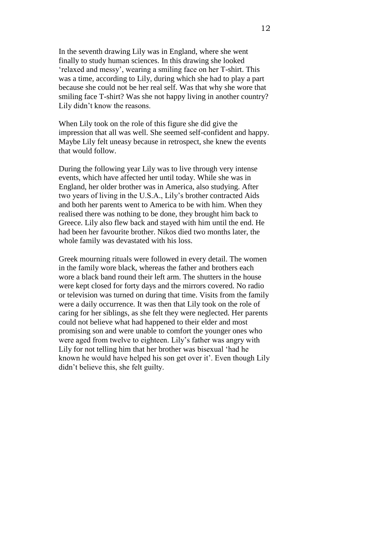In the seventh drawing Lily was in England, where she went finally to study human sciences. In this drawing she looked 'relaxed and messy', wearing a smiling face on her T-shirt. This was a time, according to Lily, during which she had to play a part because she could not be her real self. Was that why she wore that smiling face T-shirt? Was she not happy living in another country? Lily didn't know the reasons.

When Lily took on the role of this figure she did give the impression that all was well. She seemed self-confident and happy. Maybe Lily felt uneasy because in retrospect, she knew the events that would follow.

During the following year Lily was to live through very intense events, which have affected her until today. While she was in England, her older brother was in America, also studying. After two years of living in the U.S.A., Lily's brother contracted Aids and both her parents went to America to be with him. When they realised there was nothing to be done, they brought him back to Greece. Lily also flew back and stayed with him until the end. He had been her favourite brother. Nikos died two months later, the whole family was devastated with his loss.

Greek mourning rituals were followed in every detail. The women in the family wore black, whereas the father and brothers each wore a black band round their left arm. The shutters in the house were kept closed for forty days and the mirrors covered. No radio or television was turned on during that time. Visits from the family were a daily occurrence. It was then that Lily took on the role of caring for her siblings, as she felt they were neglected. Her parents could not believe what had happened to their elder and most promising son and were unable to comfort the younger ones who were aged from twelve to eighteen. Lily's father was angry with Lily for not telling him that her brother was bisexual 'had he known he would have helped his son get over it'. Even though Lily didn't believe this, she felt guilty.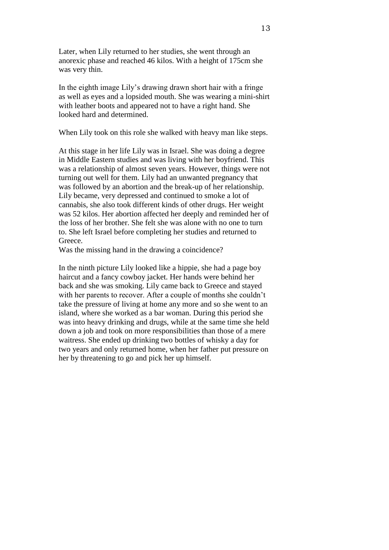Later, when Lily returned to her studies, she went through an anorexic phase and reached 46 kilos. With a height of 175cm she was very thin.

In the eighth image Lily's drawing drawn short hair with a fringe as well as eyes and a lopsided mouth. She was wearing a mini-shirt with leather boots and appeared not to have a right hand. She looked hard and determined.

When Lily took on this role she walked with heavy man like steps.

At this stage in her life Lily was in Israel. She was doing a degree in Middle Eastern studies and was living with her boyfriend. This was a relationship of almost seven years. However, things were not turning out well for them. Lily had an unwanted pregnancy that was followed by an abortion and the break-up of her relationship. Lily became, very depressed and continued to smoke a lot of cannabis, she also took different kinds of other drugs. Her weight was 52 kilos. Her abortion affected her deeply and reminded her of the loss of her brother. She felt she was alone with no one to turn to. She left Israel before completing her studies and returned to Greece.

Was the missing hand in the drawing a coincidence?

In the ninth picture Lily looked like a hippie, she had a page boy haircut and a fancy cowboy jacket. Her hands were behind her back and she was smoking. Lily came back to Greece and stayed with her parents to recover. After a couple of months she couldn't take the pressure of living at home any more and so she went to an island, where she worked as a bar woman. During this period she was into heavy drinking and drugs, while at the same time she held down a job and took on more responsibilities than those of a mere waitress. She ended up drinking two bottles of whisky a day for two years and only returned home, when her father put pressure on her by threatening to go and pick her up himself.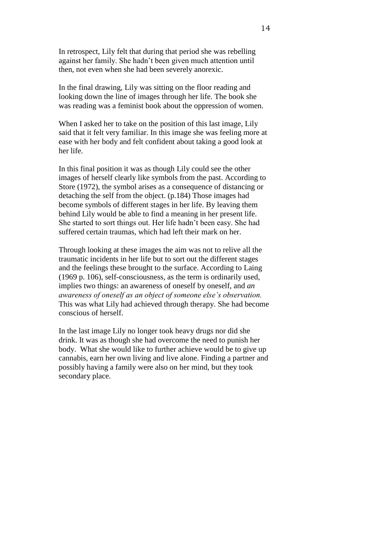In retrospect, Lily felt that during that period she was rebelling against her family. She hadn't been given much attention until then, not even when she had been severely anorexic.

In the final drawing, Lily was sitting on the floor reading and looking down the line of images through her life. The book she was reading was a feminist book about the oppression of women.

When I asked her to take on the position of this last image, Lily said that it felt very familiar. In this image she was feeling more at ease with her body and felt confident about taking a good look at her life.

In this final position it was as though Lily could see the other images of herself clearly like symbols from the past. According to Store (1972), the symbol arises as a consequence of distancing or detaching the self from the object. (p.184) Those images had become symbols of different stages in her life. By leaving them behind Lily would be able to find a meaning in her present life. She started to sort things out. Her life hadn't been easy. She had suffered certain traumas, which had left their mark on her.

Through looking at these images the aim was not to relive all the traumatic incidents in her life but to sort out the different stages and the feelings these brought to the surface. According to Laing (1969 p. 106), self-consciousness, as the term is ordinarily used, implies two things: an awareness of oneself by oneself, and *an awareness of oneself as an object of someone else's observation.*  This was what Lily had achieved through therapy. She had become conscious of herself.

In the last image Lily no longer took heavy drugs nor did she drink. It was as though she had overcome the need to punish her body. What she would like to further achieve would be to give up cannabis, earn her own living and live alone. Finding a partner and possibly having a family were also on her mind, but they took secondary place.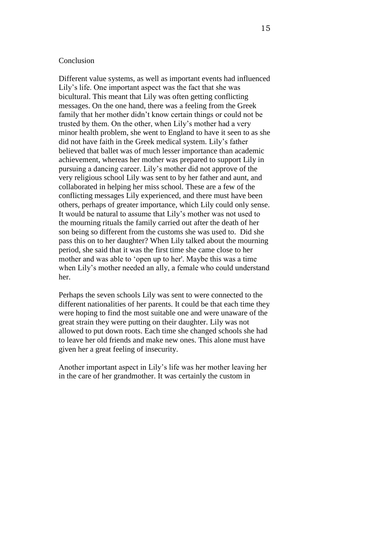#### Conclusion

Different value systems, as well as important events had influenced Lily's life. One important aspect was the fact that she was bicultural. This meant that Lily was often getting conflicting messages. On the one hand, there was a feeling from the Greek family that her mother didn't know certain things or could not be trusted by them. On the other, when Lily's mother had a very minor health problem, she went to England to have it seen to as she did not have faith in the Greek medical system. Lily's father believed that ballet was of much lesser importance than academic achievement, whereas her mother was prepared to support Lily in pursuing a dancing career. Lily's mother did not approve of the very religious school Lily was sent to by her father and aunt, and collaborated in helping her miss school. These are a few of the conflicting messages Lily experienced, and there must have been others, perhaps of greater importance, which Lily could only sense. It would be natural to assume that Lily's mother was not used to the mourning rituals the family carried out after the death of her son being so different from the customs she was used to. Did she pass this on to her daughter? When Lily talked about the mourning period, she said that it was the first time she came close to her mother and was able to 'open up to her'. Maybe this was a time when Lily's mother needed an ally, a female who could understand her.

Perhaps the seven schools Lily was sent to were connected to the different nationalities of her parents. It could be that each time they were hoping to find the most suitable one and were unaware of the great strain they were putting on their daughter. Lily was not allowed to put down roots. Each time she changed schools she had to leave her old friends and make new ones. This alone must have given her a great feeling of insecurity.

Another important aspect in Lily's life was her mother leaving her in the care of her grandmother. It was certainly the custom in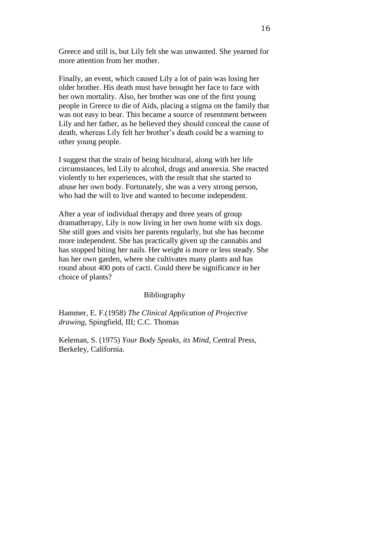Greece and still is, but Lily felt she was unwanted. She yearned for more attention from her mother.

Finally, an event, which caused Lily a lot of pain was losing her older brother. His death must have brought her face to face with her own mortality. Also, her brother was one of the first young people in Greece to die of Aids, placing a stigma on the family that was not easy to bear. This became a source of resentment between Lily and her father, as he believed they should conceal the cause of death, whereas Lily felt her brother's death could be a warning to other young people.

I suggest that the strain of being bicultural, along with her life circumstances, led Lily to alcohol, drugs and anorexia. She reacted violently to her experiences, with the result that she started to abuse her own body. Fortunately, she was a very strong person, who had the will to live and wanted to become independent.

After a year of individual therapy and three years of group dramatherapy, Lily is now living in her own home with six dogs. She still goes and visits her parents regularly, but she has become more independent. She has practically given up the cannabis and has stopped biting her nails. Her weight is more or less steady. She has her own garden, where she cultivates many plants and has round about 400 pots of cacti. Could there be significance in her choice of plants?

#### Bibliography

Hammer, E. F.(1958) *The Clinical Application of Projective drawing,* Spingfield, III; C.C. Thomas

Keleman, S. (1975) *Your Body Speaks, its Mind,* Central Press, Berkeley, California.